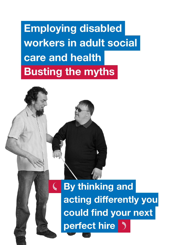Employing disabled workers in adult social care and health Busting the myths

 $\overline{\mathbb{C}}$ 

 By thinking and acting differently you could find your next perfect hire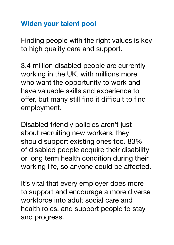### Widen your talent pool

Finding people with the right values is key to high quality care and support.

3.4 million disabled people are currently working in the UK, with millions more who want the opportunity to work and have valuable skills and experience to offer, but many still find it difficult to find employment.

Disabled friendly policies aren't just about recruiting new workers, they should support existing ones too. 83% of disabled people acquire their disability or long term health condition during their working life, so anyone could be affected.

It's vital that every employer does more to support and encourage a more diverse workforce into adult social care and health roles, and support people to stay and progress.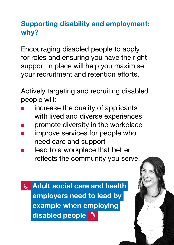### Supporting disability and employment: why?

Encouraging disabled people to apply for roles and ensuring you have the right support in place will help you maximise your recruitment and retention efforts.

Actively targeting and recruiting disabled people will:

- increase the quality of applicants with lived and diverse experiences
- promote diversity in the workplace
- improve services for people who need care and support
- lead to a workplace that better reflects the community you serve.

 Adult social care and health  $\mathcal{L}$  employers need to lead by example when employing disabled people  $\sqrt{ }$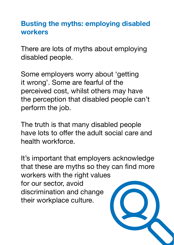### Busting the myths: employing disabled workers

There are lots of myths about employing disabled people.

Some employers worry about 'getting it wrong'. Some are fearful of the perceived cost, whilst others may have the perception that disabled people can't perform the job.

The truth is that many disabled people have lots to offer the adult social care and health workforce.

It's important that employers acknowledge that these are myths so they can find more workers with the right values for our sector, avoid discrimination and change their workplace culture.

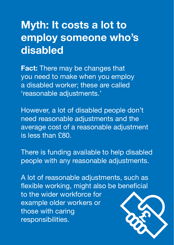# Myth: It costs a lot to employ someone who's disabled

**Fact:** There may be changes that you need to make when you employ a disabled worker; these are called 'reasonable adjustments.'

However, a lot of disabled people don't need reasonable adjustments and the average cost of a reasonable adjustment is less than £80.

There is funding available to help disabled people with any reasonable adjustments.

A lot of reasonable adjustments, such as flexible working, might also be beneficial to the wider workforce for example older workers or those with caring responsibilities.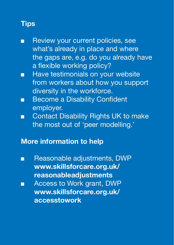- Review your current policies, see what's already in place and where the gaps are, e.g. do you already have a flexible working policy?
- Have testimonials on your website from workers about how you support diversity in the workforce.
- Become a Disability Confident employer.
- Contact Disability Rights UK to make the most out of 'peer modelling.'

#### More information to help

- Reasonable adjustments, DWP www.skillsforcare.org.uk/ reasonableadjustments
- Access to Work grant, DWP www.skillsforcare.org.uk/ accesstowork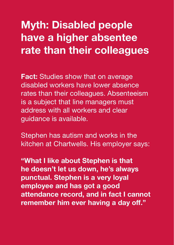# Myth: Disabled people have a higher absentee rate than their colleagues

**Fact:** Studies show that on average disabled workers have lower absence rates than their colleagues. Absenteeism is a subject that line managers must address with all workers and clear guidance is available.

Stephen has autism and works in the kitchen at Chartwells. His employer says:

"What I like about Stephen is that he doesn't let us down, he's always punctual. Stephen is a very loyal employee and has got a good attendance record, and in fact I cannot remember him ever having a day off."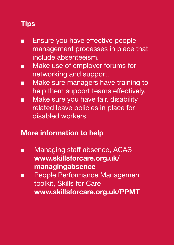- Ensure you have effective people management processes in place that include absenteeism.
- Make use of employer forums for networking and support.
- Make sure managers have training to help them support teams effectively.
- Make sure you have fair, disability related leave policies in place for disabled workers.

#### More information to help

- Managing staff absence, ACAS www.skillsforcare.org.uk/ managingabsence
- People Performance Management toolkit, Skills for Care www.skillsforcare.org.uk/PPMT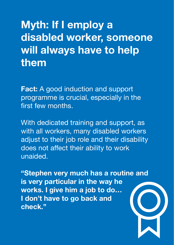# Myth: If I employ a disabled worker, someone will always have to help them

**Fact:** A good induction and support programme is crucial, especially in the first few months.

With dedicated training and support, as with all workers, many disabled workers adjust to their job role and their disability does not affect their ability to work unaided.

"Stephen very much has a routine and is very particular in the way he works. I give him a job to do… I don't have to go back and check."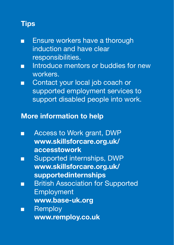- Ensure workers have a thorough induction and have clear responsibilities.
- Introduce mentors or buddies for new workers.
- Contact your local job coach or supported employment services to support disabled people into work.

#### More information to help

- Access to Work grant, DWP www.skillsforcare.org.uk/ accesstowork
- Supported internships, DWP www.skillsforcare.org.uk/ supportedinternships
- British Association for Supported Employment www.base-uk.org
- **Remploy** www.remploy.co.uk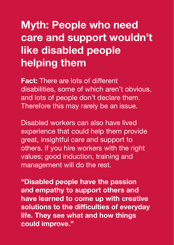# Myth: People who need care and support wouldn't like disabled people helping them

Fact: There are lots of different disabilities, some of which aren't obvious, and lots of people don't declare them. Therefore this may rarely be an issue.

Disabled workers can also have lived experience that could help them provide great, insightful care and support to others. If you hire workers with the right values; good induction, training and management will do the rest.

"Disabled people have the passion and empathy to support others and have learned to come up with creative solutions to the difficulties of everyday life. They see what and how things could improve."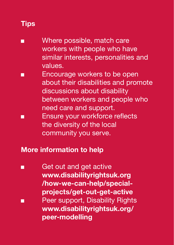- Where possible, match care workers with people who have similar interests, personalities and values.
- Encourage workers to be open about their disabilities and promote discussions about disability between workers and people who need care and support.
- Ensure your workforce reflects the diversity of the local community you serve.

#### More information to help

Get out and get active www.disabilityrightsuk.org /how-we-can-help/specialprojects/get-out-get-active ■ Peer support, Disability Rights www.disabilityrightsuk.org/ peer-modelling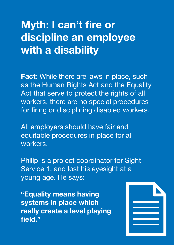# Myth: I can't fire or discipline an employee with a disability

**Fact:** While there are laws in place, such as the Human Rights Act and the Equality Act that serve to protect the rights of all workers, there are no special procedures for firing or disciplining disabled workers.

All employers should have fair and equitable procedures in place for all workers.

Philip is a project coordinator for Sight Service 1, and lost his eyesight at a young age. He says:

"Equality means having systems in place which really create a level playing field."

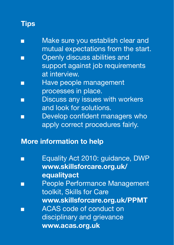| m | Make sure you establish clear and   |
|---|-------------------------------------|
|   | mutual expectations from the start. |

- Openly discuss abilities and support against job requirements at interview.
- Have people management processes in place.
- Discuss any issues with workers and look for solutions.
- Develop confident managers who apply correct procedures fairly.

#### More information to help

| Equality Act 2010: guidance, DWP     |
|--------------------------------------|
| www.skillsforcare.org.uk/            |
| equalityact                          |
| <b>People Performance Management</b> |
| toolkit, Skills for Care             |
| www.skillsforcare.org.uk/PPMT        |
| <b>ACAS</b> code of conduct on       |
| disciplinary and grievance           |
| www.acas.org.uk                      |
|                                      |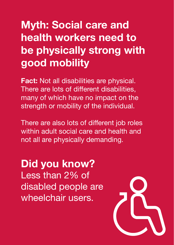# Myth: Social care and health workers need to be physically strong with good mobility

**Fact:** Not all disabilities are physical. There are lots of different disabilities, many of which have no impact on the strength or mobility of the individual.

There are also lots of different job roles within adult social care and health and not all are physically demanding.

## Did you know? Less than 2% of disabled people are wheelchair users.

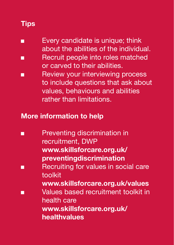- Every candidate is unique: think about the abilities of the individual.
- Recruit people into roles matched or carved to their abilities.
- Review your interviewing process to include questions that ask about values, behaviours and abilities rather than limitations.

#### More information to help

■ Preventing discrimination in recruitment, DWP www.skillsforcare.org.uk/ preventingdiscrimination ■ Recruiting for values in social care toolkit www.skillsforcare.org.uk/values ■ Values based recruitment toolkit in health care www.skillsforcare.org.uk/ healthvalues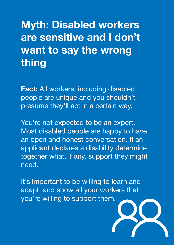# Myth: Disabled workers are sensitive and I don't want to say the wrong thing

**Fact: All workers, including disabled** people are unique and you shouldn't presume they'll act in a certain way.

You're not expected to be an expert. Most disabled people are happy to have an open and honest conversation. If an applicant declares a disability determine together what, if any, support they might need.

It's important to be willing to learn and adapt, and show all your workers that you're willing to support them.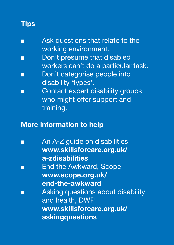- Ask questions that relate to the working environment.
- Don't presume that disabled workers can't do a particular task.
- Don't categorise people into disability 'types'.
- Contact expert disability groups who might offer support and training.

#### More information to help

An A-Z guide on disabilities www.skillsforcare.org.uk/ a-zdisabilities **End the Awkward, Scope** www.scope.org.uk/ end-the-awkward Asking questions about disability and health, DWP www.skillsforcare.org.uk/ askingquestions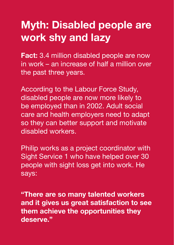# Myth: Disabled people are work shy and lazy

**Fact:** 3.4 million disabled people are now in work – an increase of half a million over the past three years.

According to the Labour Force Study, disabled people are now more likely to be employed than in 2002. Adult social care and health employers need to adapt so they can better support and motivate disabled workers.

Philip works as a project coordinator with Sight Service 1 who have helped over 30 people with sight loss get into work. He says:

"There are so many talented workers and it gives us great satisfaction to see them achieve the opportunities they deserve."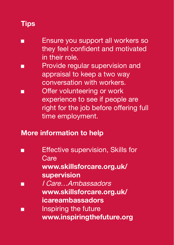- Ensure you support all workers so they feel confident and motivated in their role.
- Provide regular supervision and appraisal to keep a two way conversation with workers.
- Offer volunteering or work experience to see if people are right for the job before offering full time employment.

#### More information to help

**Effective supervision, Skills for Care** www.skillsforcare.org.uk/ supervision ■ I Care…Ambassadors www.skillsforcare.org.uk/ icareambassadors ■ Inspiring the future www.inspiringthefuture.org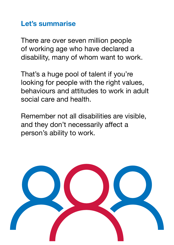### Let's summarise

There are over seven million people of working age who have declared a disability, many of whom want to work.

That's a huge pool of talent if you're looking for people with the right values, behaviours and attitudes to work in adult social care and health.

Remember not all disabilities are visible, and they don't necessarily affect a person's ability to work.

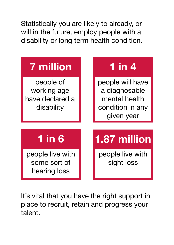Statistically you are likely to already, or will in the future, employ people with a disability or long term health condition.



It's vital that you have the right support in place to recruit, retain and progress your talent.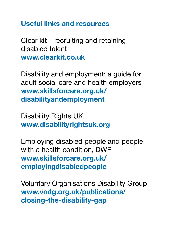Useful links and resources

Clear kit – recruiting and retaining disabled talent www.clearkit.co.uk

Disability and employment: a guide for adult social care and health employers www.skillsforcare.org.uk/ disabilityandemployment

Disability Rights UK www.disabilityrightsuk.org

Employing disabled people and people with a health condition, DWP www.skillsforcare.org.uk/ employingdisabledpeople

Voluntary Organisations Disability Group www.vodg.org.uk/publications/ closing-the-disability-gap